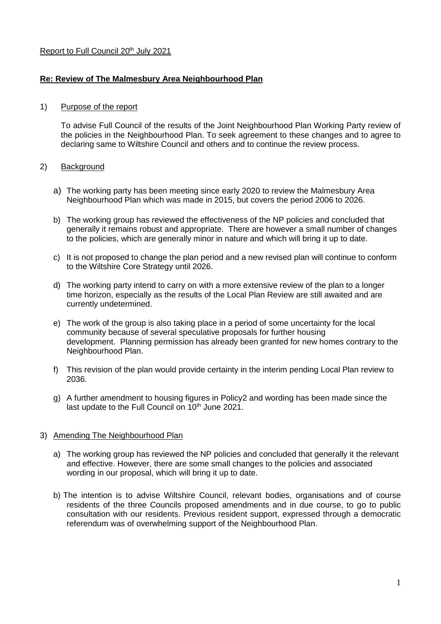## Report to Full Council 20<sup>th</sup> July 2021

## **Re: Review of The Malmesbury Area Neighbourhood Plan**

### 1) Purpose of the report

To advise Full Council of the results of the Joint Neighbourhood Plan Working Party review of the policies in the Neighbourhood Plan. To seek agreement to these changes and to agree to declaring same to Wiltshire Council and others and to continue the review process.

### 2) Background

- a) The working party has been meeting since early 2020 to review the Malmesbury Area Neighbourhood Plan which was made in 2015, but covers the period 2006 to 2026.
- b) The working group has reviewed the effectiveness of the NP policies and concluded that generally it remains robust and appropriate. There are however a small number of changes to the policies, which are generally minor in nature and which will bring it up to date.
- c) It is not proposed to change the plan period and a new revised plan will continue to conform to the Wiltshire Core Strategy until 2026.
- d) The working party intend to carry on with a more extensive review of the plan to a longer time horizon, especially as the results of the Local Plan Review are still awaited and are currently undetermined.
- e) The work of the group is also taking place in a period of some uncertainty for the local community because of several speculative proposals for further housing development. Planning permission has already been granted for new homes contrary to the Neighbourhood Plan.
- f) This revision of the plan would provide certainty in the interim pending Local Plan review to 2036.
- g) A further amendment to housing figures in Policy2 and wording has been made since the last update to the Full Council on 10<sup>th</sup> June 2021.

#### 3) Amending The Neighbourhood Plan

- a) The working group has reviewed the NP policies and concluded that generally it the relevant and effective. However, there are some small changes to the policies and associated wording in our proposal, which will bring it up to date.
- b) The intention is to advise Wiltshire Council, relevant bodies, organisations and of course residents of the three Councils proposed amendments and in due course, to go to public consultation with our residents. Previous resident support, expressed through a democratic referendum was of overwhelming support of the Neighbourhood Plan.